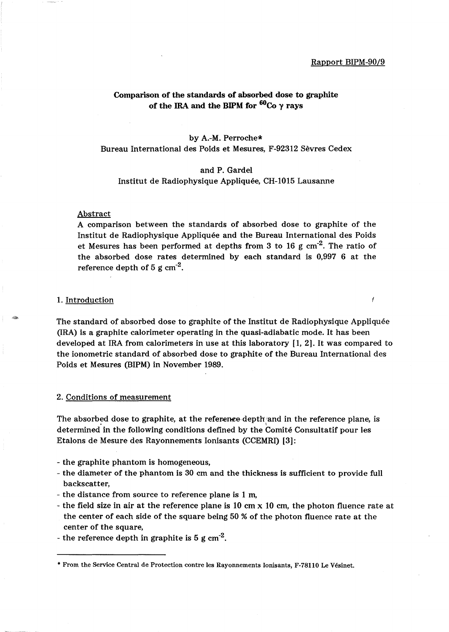I

### Comparison of the standards of absorbed dose to graphite of the IRA and the BIPM for  $^{60}$ Co  $\gamma$  rays

### by A.-M. Perroche\* Bureau International des Poids et Mesures, F-92312 Sevres Cedex

### and P. Gardel Institut de Radiophysique Appliquee, CH-I015 Lausanne

#### Abstract

A comparison between the standards of absorbed dose to graphite of the Institut de Radiophysique Appliquee and the Bureau International des Poids et Mesures has been performed at depths from 3 to 16 g  $cm<sup>-2</sup>$ . The ratio of the absorbed dose rates determined by each standard is 0,997 6 at the reference depth of  $5 \text{ g cm}^{-2}$ .

### 1. Introduction

The standard of absorbed dose to graphite of the Institut de Radiophysique Appliquee (IRA) is a graphite calorimeter operating in the quasi-adiabatic mode. It has been developed at IRA from calorimeters in use at this laboratory [1, 2]. It was compared to the ionometric standard of absorbed dose to graphite of the Bureau International des Poids et Mesures (BIPM) in November 1989.

2. Conditions of measurement

The absorbed dose to graphite, at the reference depth and in the reference plane, is determined in the following conditions defined by the Comite Consultatif pour les Etalons de Mesure des Rayonnements Ionisants (CCEMRI) [3]:

- the graphite phantom is homogeneous,
- the diameter of the phantom is 30 cm and the thickness is sufficient to provide full backscatter,
- the distance from source to reference plane is 1 m,
- the field size in air at the reference plane is 10 cm x 10 cm, the photon fluence rate at the center of each side of the square being 50 % of the photon fluence rate at the center of the square,
- the reference depth in graphite is  $5 \text{ g cm}^{-2}$ .

<sup>•</sup> From the Service Central de Protection contre les Rayonnements Ionisants, F-78110 Le Vesinet.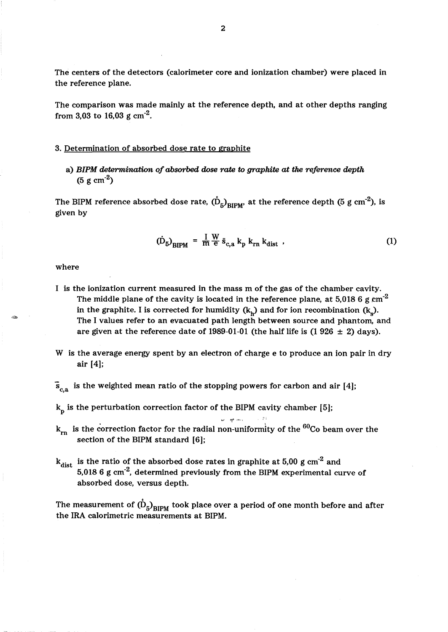The centers of the detectors (calorimeter core and ionization chamber) were placed in the reference plane.

The comparison was made mainly at the reference depth, and at other depths ranging from 3,03 to 16,03 g  $cm^{-2}$ .

#### 3. Determination of absorbed dose rate to graphite

a) *BIPM determination of absorbed dose rate to graphite at the reference depth*   $(5 \text{ g cm}^{-2})$ 

The BIPM reference absorbed dose rate,  $\mathrm{(\mathring{D}_5)_{RIPM'}}$  at the reference depth (5 g cm $^{-2}$ ), is given by

$$
\left(\dot{\mathbf{D}}_{5}\right)_{\text{BIPM}} = \frac{\mathbf{I}}{\mathbf{m}} \frac{\mathbf{W}}{\mathbf{e}} \tilde{\mathbf{s}}_{\text{c,a}} \mathbf{k}_{\text{p}} \mathbf{k}_{\text{rn}} \mathbf{k}_{\text{dist}} \tag{1}
$$

#### where

- I is the ionization current measured in the mass m of the gas of the chamber cavity. The middle plane of the cavity is located in the reference plane, at 5,018 6 g  $cm^{-2}$ in the graphite. I is corrected for humidity  $(k<sub>h</sub>)$  and for ion recombination  $(k<sub>s</sub>)$ . The I values refer to an evacuated path length between source and phantom, and are given at the reference date of 1989-01-01 (the half life is  $(1926 \pm 2)$  days).
- W is the average energy spent by an electron of charge e to produce an ion pair in dry air [4];

 $\mathbf{\bar{s}}_{\rm c,a}$  is the weighted mean ratio of the stopping powers for carbon and air [4];

 $k_p$  is the perturbation correction factor of the BIPM cavity chamber [5];

 $k_{\rm rn}$  is the correction factor for the radial non-uniformity of the  $^{60}$ Co beam over the section of the BIPM standard [6];

-., *""I'* ,-,,\_,

is the ratio of the absorbed dose rates in graphite at 5,00 g  $cm^{-2}$  and  $k_{dist}$ 5,018 6 g cm $^{\text{-2}}$ , determined previously from the BIPM experimental curve of absorbed dose, versus depth.

The measurement of  $(D_5)_{\text{BIPM}}$  took place over a period of one month before and after the IRA calorimetric measurements at BIPM.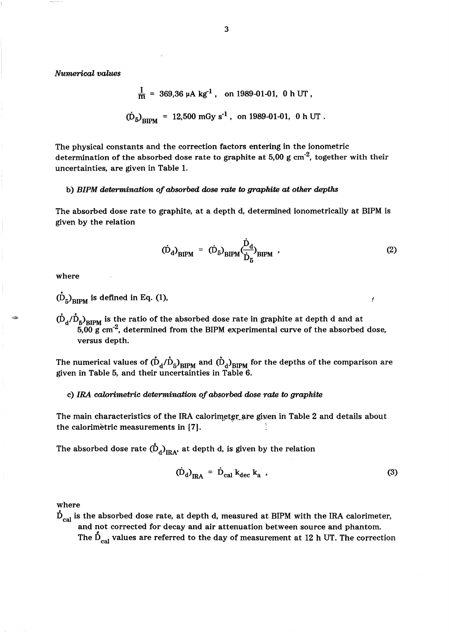*Numerical values* 

$$
\frac{I}{m} = 369,36 \, \mu A \, \text{kg}^{-1} \,, \quad \text{on } 1989-01-01, \, 0 \, \text{h } \text{UT} \,,
$$
\n
$$
\left(\dot{D}_5\right)_{\text{BIPM}} = 12,500 \, \text{mGy s}^{-1} \,, \quad \text{on } 1989-01-01, \, 0 \, \text{h } \text{UT} \,.
$$

The physical constants and the correction factors entering in the ionometric determination of the absorbed dose rate to graphite at  $5,00$  g cm<sup>-2</sup>, together with their uncertainties, are given in Table 1.

### b) *BIPM determination of absorbed dose rate* to *graphite at other depths*

The absorbed dose rate to graphite, at a depth d, determined ionometrically at BIPM is given by the relation

$$
(\dot{\mathbf{D}}_{\mathbf{d}})_{\text{BIPM}} = (\dot{\mathbf{D}}_{5})_{\text{BIPM}} \left( \frac{\dot{\mathbf{D}}_{\mathbf{d}}}{\dot{\mathbf{D}}_{\mathbf{F}}} \right)_{\text{BIPM}} , \qquad (2)
$$

where

# $\dot{(\mathbf{D}_5)}_{\text{RIPM}}$  is defined in Eq. (1),

 $(\dot{D}_d/\dot{D}_5)_{\text{RIPM}}$  is the ratio of the absorbed dose rate in graphite at depth d and at  $5.00 \text{ g cm}^2$ , determined from the BIPM experimental curve of the absorbed dose, versus depth.

The numerical values of  $({\dot{\rm D}}_{\rm d}/{\dot{\rm D}}_{\rm 5})_{\rm BIPM}$  and  $({\dot{\rm D}}_{\rm d})_{\rm BIPM}$  for the depths of the comparison are given in Table 5, and their uncertainties in Table 6.

### c) *IRA calorimetric determination of absorbed dose rate* to *graphite*

The main characteristics of the IRA calorimeter are given in Table 2 and details about the calorimetric measurements in [7].

The absorbed dose rate  $(\mathring{D}_d)_{\text{IRA}}$ , at depth d, is given by the relation

$$
\left(\dot{\mathbf{D}}_{\mathbf{d}}\right)_{\text{IRA}} = \dot{\mathbf{D}}_{\text{cal}} \mathbf{k}_{\text{dec}} \mathbf{k}_{\mathbf{a}} \tag{3}
$$

### where

 $\dot{\mathbf{D}}_{\text{cal}}$  is the absorbed dose rate, at depth d, measured at BIPM with the IRA calorimeter, and not corrected for decay and air attenuation between source and phantom.<br>The  $\dot{D}_{cal}$  values are referred to the day of measurement at 12 h UT. The correction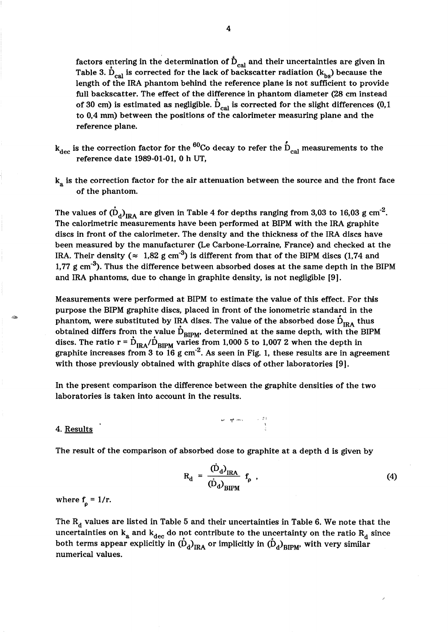factors entering in the determination of  $\dot{\mathbf{D}}_{\text{cal}}$  and their uncertainties are given in Table 3.  $\dot{D}_{cal}$  is corrected for the lack of backscatter radiation ( $k_{bs}$ ) because the length of the IRA phantom behind the reference plane is not sufficient to provide full backscatter. The effect of the difference in phantom diameter (28 cm instead of 30 cm) is estimated as negligible.  $D_{cal}$  is corrected for the slight differences (0,1) to 0,4 mm) between the positions of the calorimeter measuring plane and the reference plane.

- $k_{dec}$  is the correction factor for the <sup>60</sup>Co decay to refer the  $\dot{D}_{cal}$  measurements to the reference date 1989-01-01, 0 h UT,
- $k_a$  is the correction factor for the air attenuation between the source and the front face of the phantom.

The values of  $(D_d)_{\text{IRA}}$  are given in Table 4 for depths ranging from 3,03 to 16,03 g cm<sup>-2</sup>. The calorimetric measurements have been performed at BIPM with the IRA graphite discs in front of the calorimeter. The density and the thickness of the IRA discs have been measured by the manufacturer (Le Carbone-Lorraine, France) and checked at the IRA. Their density ( $\approx 1.82$  g cm<sup>-3</sup>) is different from that of the BIPM discs (1.74 and 1,77 g cm<sup>-3</sup>). Thus the difference between absorbed doses at the same depth in the BIPM and IRA phantoms, due to change in graphite density, is not negligible [9].

Measurements were performed at BIPM to estimate the value of this effect. For this purpose the BIPM graphite discs, placed in front of the ionometric standard in the phantom, were substituted by IRA discs. The value of the absorbed dose  $\dot{D}_{IRA}$  thus obtained differs from the value  $\dot{\mathbf{D}}_{\text{BIPM}}$ , determined at the same depth, with the BIPM discs. The ratio r =  $\dot{D}_{IRA}/\dot{D}_{BIPM}$  varies from 1,000 5 to 1,007 2 when the depth in graphite increases from 3 to 16 g cm<sup>-2</sup>. As seen in Fig. 1, these results are in agreement with those previously obtained with graphite discs of other laboratories [9].

In the present comparison the difference between the graphite densities of the two laboratories is taken into account in the results.

-., Pf," ,"~ .. , . ;1;

### 4. Results

The result of the comparison of absorbed dose to graphite at a depth d is given by

$$
R_d = \frac{(D_d)_{\text{IRA}}}{(\dot{D}_d)_{\text{BIPM}}} f_{\rho} \tag{4}
$$

where  $f_{\rho} = 1/r$ .

The  $R_d$  values are listed in Table 5 and their uncertainties in Table 6. We note that the uncertainties on  $k_a$  and  $k_{dec}$  do not contribute to the uncertainty on the ratio  $R_d$  since both terms appear explicitly in  $(D_d)_{\text{IRA}}$  or implicitly in  $(D_d)_{\text{RIPM}}$ , with very similar numerical values.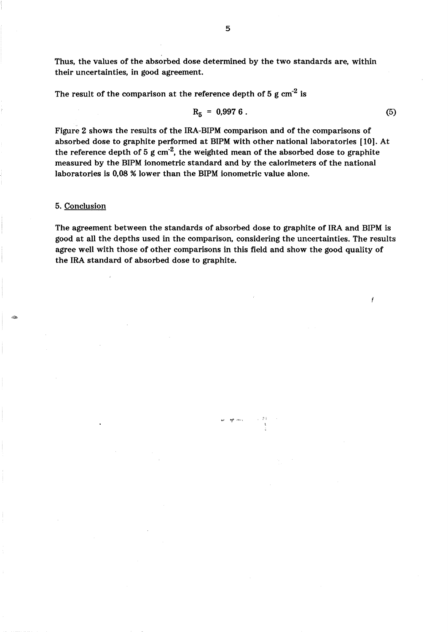Thus, the values of the absorbed dose determined by the two standards are, within their uncertainties, in good agreement.

The result of the comparison at the reference depth of 5 g  $cm<sup>-2</sup>$  is

$$
R_5 = 0.9976. \t\t(5)
$$

Figure 2 shows the results of the IRA-BIPM comparison and of the comparisons of absorbed dose to graphite performed at BIPM with other national laboratories [10]. At the reference depth of 5 g  $cm<sup>-2</sup>$ , the weighted mean of the absorbed dose to graphite measured by the BIPM ionometric standard and by the calorimeters of the national laboratories is 0,08 % lower than the BIPM ionometric value alone.

### 5. Conclusion

The agreement between the standards of absorbed dose to graphite of IRA and BIPM is good at all the depths used in the comparison, considering the uncertainties. The results agree well with those of other comparisons in this field and show the good quality of the IRA standard of absorbed dose to graphite.

*'VI "'t* ,-,.,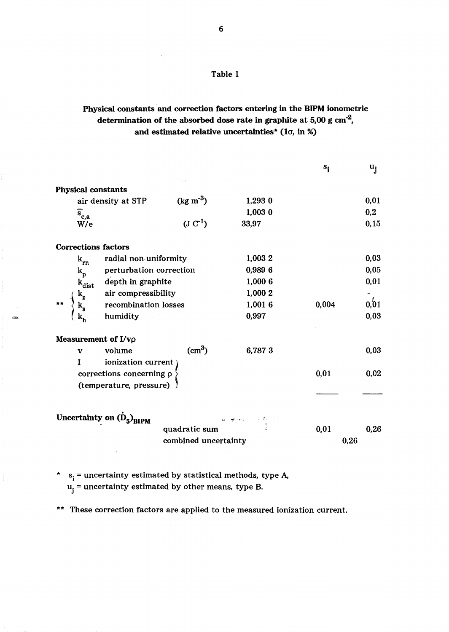## Table 1

## Physical constants and correction factors entering in the BlPM ionometric determination of the absorbed dose rate in graphite at  $5.00 \text{ g cm}^{-2}$ , and estimated relative uncertainties\* (1 $\sigma$ , in %)

|                                                         |                         |         | $s_i$ | $\mathbf{u}_{\mathbf{i}}$ |
|---------------------------------------------------------|-------------------------|---------|-------|---------------------------|
| Physical constants                                      |                         |         |       |                           |
| air density at STP                                      | $(kg \, \text{m}^{-3})$ | 1,293 0 |       | 0,01                      |
| $\overline{s}_{c,a}$                                    |                         | 1,003 0 |       | 0,2                       |
| W/e                                                     | $(U C^{-1})$            | 33,97   |       | 0, 15                     |
| <b>Corrections factors</b>                              |                         |         |       |                           |
| radial non-uniformity<br>$k_{rn}$                       |                         | 1,003 2 |       | 0,03                      |
| perturbation correction<br>$\mathbf{k}_\mathrm{p}$      |                         | 0,989 6 |       | 0,05                      |
| depth in graphite                                       |                         | 1,000 6 |       | 0,01                      |
| $k_{dist}$<br>$k_{z}$<br>$k_{s}$<br>air compressibility |                         | 1,000 2 |       |                           |
| recombination losses                                    |                         | 1,0016  | 0,004 | 0,01                      |
| humidity                                                |                         | 0,997   |       | 0,03                      |
| Measurement of I/vo                                     |                         |         |       |                           |
| volume<br>$\mathbf{v}$                                  | $\text{cm}^3$ )         | 6,7873  |       | 0,03                      |
| ionization current<br>L                                 |                         |         |       |                           |
| corrections concerning p                                |                         |         | 0,01  | 0,02                      |
| (temperature, pressure)                                 |                         |         |       |                           |
|                                                         |                         |         |       |                           |
| Uncertainty on $\dot{(\mathbf{D}_5)}_{\text{BIPM}}$     |                         |         |       |                           |
|                                                         | quadratic sum           |         | 0,01  | 0,26                      |
|                                                         | combined uncertainty    |         | 0,26  |                           |
|                                                         |                         |         |       |                           |

\*  $s_i$  = uncertainty estimated by statistical methods, type A,  $u_j$  = uncertainty estimated by other means, type B.

~

\*\* These correction factors are applied to the measured ionization current.

6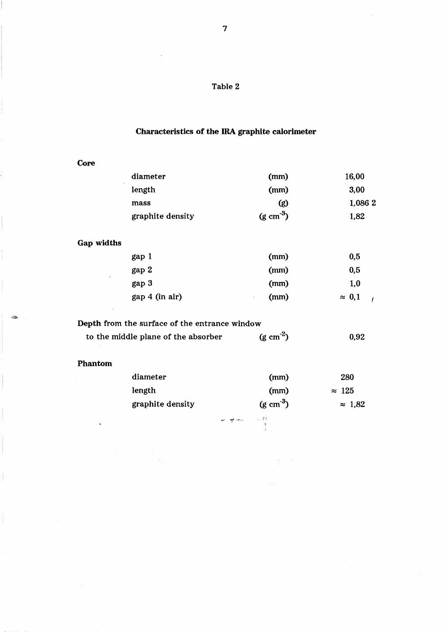# Characteristics of the IRA graphite calorimeter

| ٠<br>۰. |
|---------|
|---------|

| diameter         | (mm)                  | 16,00   |
|------------------|-----------------------|---------|
| length           | (mm)                  | 3,00    |
| mass             | (g)                   | 1,086 2 |
| graphite density | $(g \text{ cm}^{-3})$ | 1,82    |

## Gap widths

| gap 1          | (mm)       | 0,5                             |
|----------------|------------|---------------------------------|
| gap 2          | (mm)       | 0,5                             |
| gap 3          | (mm)       | 1,0                             |
| gap 4 (in air) | (mm)<br>÷. | $\approx 0.1$<br>$\overline{1}$ |

# Depth from the surface of the entrance window

| 0,92 |
|------|
|      |

### Phantom

-

ŧ

| diameter         | (mm)                  | 280            |
|------------------|-----------------------|----------------|
| length           | (mm)                  | $\approx 125$  |
| graphite density | $(g \text{ cm}^{-3})$ | $\approx$ 1.82 |

 $\frac{19}{3} \frac{1}{3} \frac{1}{3} \frac{1}{3} \frac{1}{3} \frac{1}{3} \frac{1}{3} \frac{1}{3} \frac{1}{3} \frac{1}{3} \frac{1}{3} \frac{1}{3} \frac{1}{3} \frac{1}{3} \frac{1}{3} \frac{1}{3} \frac{1}{3} \frac{1}{3} \frac{1}{3} \frac{1}{3} \frac{1}{3} \frac{1}{3} \frac{1}{3} \frac{1}{3} \frac{1}{3} \frac{1}{3} \frac{1}{3} \frac{1}{3} \frac{1}{3} \frac{1}{3} \frac{1}{3} \frac$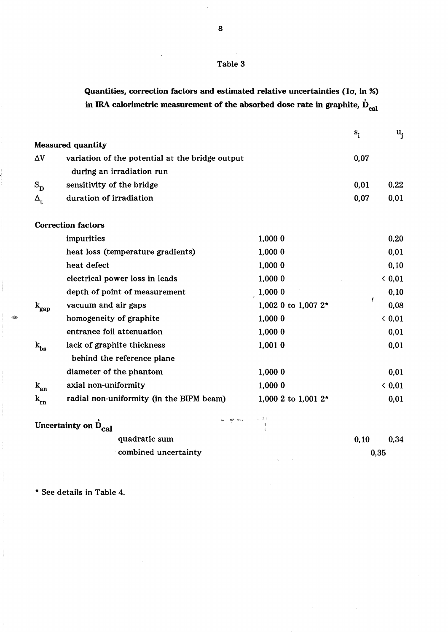### Table 3

Quantities, correction factors and estimated relative uncertainties (10, in %) in IRA calorimetric measurement of the absorbed dose rate in graphite,  $\dot{\mathbf{D}}_{\rm cal}$ 

|                                |                                                 |                        | $s$ <sub>i</sub> | $u_i$ |
|--------------------------------|-------------------------------------------------|------------------------|------------------|-------|
|                                | <b>Measured quantity</b>                        |                        |                  |       |
| $\Delta \rm{V}$                | variation of the potential at the bridge output |                        | 0,07             |       |
|                                | during an irradiation run                       |                        |                  |       |
| $S_{\rm D}$                    | sensitivity of the bridge                       |                        | 0,01             | 0,22  |
| $\mathbf{\Delta}_{\mathbf{t}}$ | duration of irradiation                         |                        | 0,07             | 0,01  |
|                                |                                                 |                        |                  |       |
|                                | <b>Correction factors</b>                       |                        |                  |       |
|                                | impurities                                      | 1,000 0                |                  | 0,20  |
|                                | heat loss (temperature gradients)               | 1,000 0                |                  | 0,01  |
|                                | heat defect                                     | 1,000 0                |                  | 0, 10 |
|                                | electrical power loss in leads                  | 1,000 0                |                  | 0,01  |
|                                | depth of point of measurement                   | 1,000 0                |                  | 0, 10 |
| $\mathbf{k}_{\rm gap}$         | vacuum and air gaps                             | 1,002 0 to 1,007 2*    | Ť                | 0,08  |
|                                | homogeneity of graphite                         | 1,000 0                |                  | 0,01  |
|                                | entrance foil attenuation                       | 1,000 0                |                  | 0,01  |
| $\mathbf{k_{bs}}$              | lack of graphite thickness                      | 1,0010                 |                  | 0,01  |
|                                | behind the reference plane                      |                        |                  |       |
|                                | diameter of the phantom                         | 1,000 0                |                  | 0,01  |
| $\mathbf{k_{an}}$              | axial non-uniformity                            | 1,000 0                |                  | 0,01  |
| $k_{rn}$                       | radial non-uniformity (in the BIPM beam)        | 1,000 2 to 1,001 $2^*$ |                  | 0,01  |
|                                | W. W. May<br>Uncertainty on D <sub>cal</sub>    | 小学科<br>$\frac{1}{2}$   |                  |       |
|                                | quadratic sum                                   |                        | 0,10             | 0,34  |
|                                | combined uncertainty                            |                        | 0,35             |       |
|                                |                                                 |                        |                  |       |

\* See details in Table 4.

&

8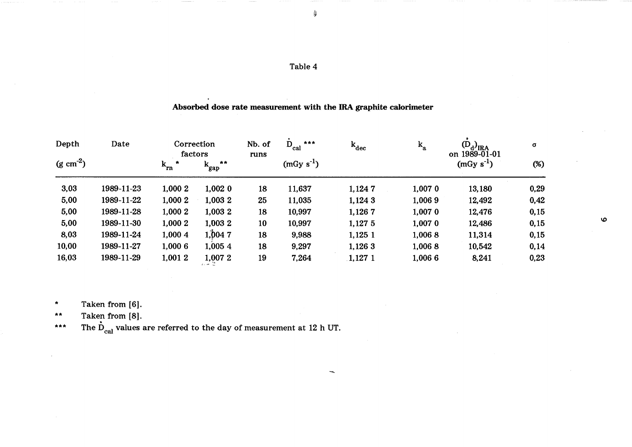~

Ġ

## Absorbed dose rate measurement with the IRA graphite calorimeter

| Depth              | Date       | Correction<br>factors |                 | Nb. of<br>runs | ***<br>$D_{cal}$ | $\mathbf{k_{dec}}$ | $k_a$       | $(D_d)_{\text{IRA}}$<br>on 1989-01-01 | $\sigma$ |                       |
|--------------------|------------|-----------------------|-----------------|----------------|------------------|--------------------|-------------|---------------------------------------|----------|-----------------------|
| $(g \text{ cm}^2)$ |            | $k_{rn}$              | **<br>$k_{gap}$ |                | $(mGy s-1)$      |                    |             | $(mGy s-1)$                           | (%)      |                       |
| 3,03               | 1989-11-23 | 1,000 2               | 1,002 0         | 18             | 11,637           | 1,1247             | 1,0070      | 13,180                                | 0,29     |                       |
| 5,00               | 1989-11-22 | 1,000 2               | 1,003 2         | 25             | 11,035           | 1,124 3            | 1,0069      | 12,492                                | 0,42     |                       |
| 5,00               | 1989-11-28 | 1,000 2               | 1,003 2         | 18             | 10,997           | 1,1267             | $1,007$ $0$ | 12,476                                | 0,15     |                       |
| 5,00               | 1989-11-30 | 1,000 2               | 1,003 2         | 10             | 10,997           | 1,127 5            | 1,007 0     | 12,486                                | 0,15     | $\boldsymbol{\omega}$ |
| 8,03               | 1989-11-24 | 1,000 4               | 1,0047          | 18             | 9,988            | 1,1251             | 1,0068      | 11,314                                | 0,15     |                       |
| 10,00              | 1989-11-27 | 1,000 6               | 1,0054          | 18             | 9,297            | 1,126 3            | 1,0068      | 10,542                                | 0,14     |                       |
| 16,03              | 1989-11-29 | 1,001 2               | 1,007 2         | 19             | 7,264            | 1,127 1            | 1,006 6     | 8,241                                 | 0,23     |                       |

\* Taken from [6].

 $\star \star$ 

\*\* Taken from [8].<br>\*\*\* The D<sub>cal</sub> values are referred to the day of measurement at 12 h UT.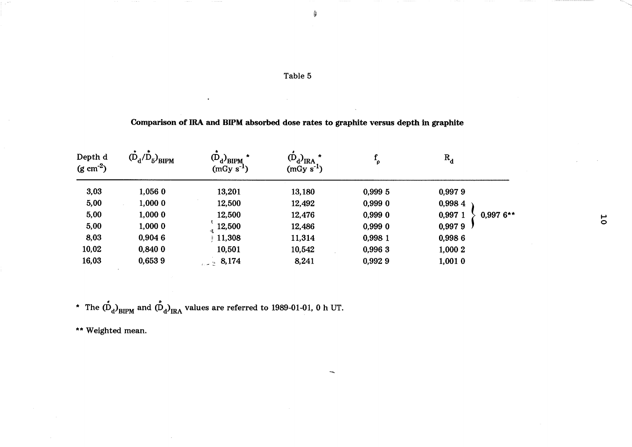| Table 5 |  |
|---------|--|
|---------|--|

~

Ĝ

## Comparison of IRA and BIPM absorbed dose rates to graphite versus depth in graphite

| Depth d<br>$(g cm-2)$ | $(D_d/D_5)_{\text{BIPM}}$ | $(D_d)_{BIPM}$<br>$(mGy s-1)$ | $(D_d)_{\text{IRA}}$<br>$(mGy s-1)$ |         | $R_{d}$                |                |
|-----------------------|---------------------------|-------------------------------|-------------------------------------|---------|------------------------|----------------|
| 3,03                  | 1,056 0                   | 13,201                        | 13,180                              | 0,999 5 | 0,9979                 |                |
| 5,00                  | 1,0000                    | 12,500                        | 12,492                              | 0,9990  | 0,9984                 |                |
| 5,00                  | 1,0000                    | 12,500                        | 12,476                              | 0,9990  | 0,997 1<br>$0,9976$ ** |                |
| 5,00                  | 1,000 0                   | 12,500                        | 12,486                              | 0,9990  | 0,9979                 | $\overline{C}$ |
| 8,03                  | 0,9046                    | $+11,308$                     | 11,314                              | 0,998 1 | 0,9986                 |                |
| 10,02                 | 0,8400                    | 10,501                        | 10,542                              | 0,996 3 | 1,000 2                |                |
| 16,03                 | 0,6539                    | 3.174                         | 8,241                               | 0,9929  | 1,0010                 |                |

\* The  $\dot{\text{D}}_{\text{d}})_{\text{BIPM}}$  and  $\dot{\text{D}}_{\text{d}})_{\text{IRA}}$  values are referred to 1989-01-01, 0 h UT.

\*\* Weighted mean.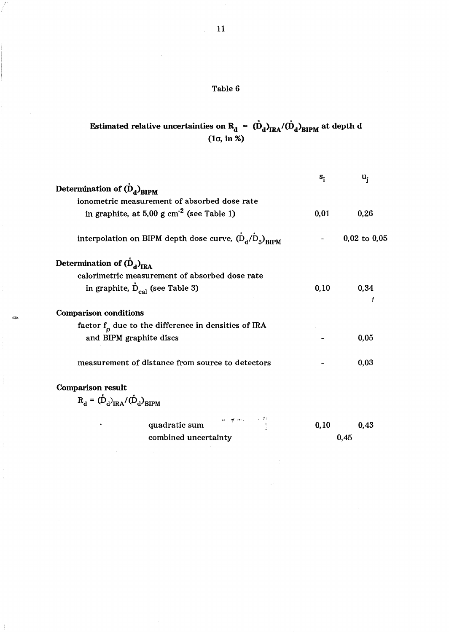# Table 6

# Estimated relative uncertainties on R<sub>d</sub> =  $\ddot{\text{(D)}}_{\text{d}}\text{J}_\text{IRA}/\text{(D)}_{\text{d}}\text{J}_\text{BIPM}$  at depth d (la, in %)

|                                                                        | $\mathbf{s}_{\mathbf{i}}$ | u,               |
|------------------------------------------------------------------------|---------------------------|------------------|
| Determination of $(D_d)_{RIPM}$                                        |                           |                  |
| ionometric measurement of absorbed dose rate                           |                           |                  |
| in graphite, at 5,00 g $cm-2$ (see Table 1)                            | 0,01                      | 0.26             |
| interpolation on BIPM depth dose curve, $(\dot{D}_d/\dot{D}_5)_{RIPM}$ |                           | $0,02$ to $0,05$ |
| Determination of $(D_d)_{\text{IRA}}$                                  |                           |                  |
| calorimetric measurement of absorbed dose rate                         |                           |                  |
| in graphite, $\dot{D}_{cal}$ (see Table 3)                             | 0, 10                     | 0,34             |
| <b>Comparison conditions</b>                                           |                           |                  |
| factor $f_{o}$ due to the difference in densities of IRA               |                           |                  |
| and BIPM graphite discs                                                |                           | 0,05             |
| measurement of distance from source to detectors                       |                           | 0,03             |
| <b>Comparison result</b>                                               |                           |                  |
| $R_{d} = (\dot{D}_{d})_{\text{IPA}} / (\dot{D}_{d})_{\text{RIPM}}$     |                           |                  |
| म∕ अन्य अमेर क्<br>उ<br>quadratic sum                                  | 0, 10                     | 0.43             |
| combined uncertainty                                                   |                           | 0.45             |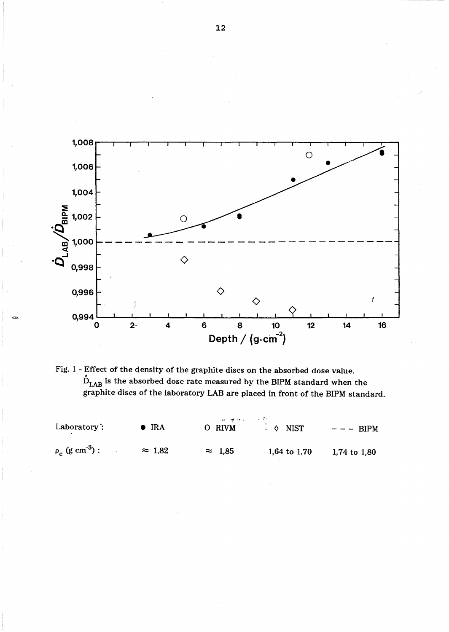



| Laboratory:                      | $\bullet$ IRA  | and the company of the first state of the<br>O RIVM | $\Diamond$ NIST | $- - -$ BIPM   |  |
|----------------------------------|----------------|-----------------------------------------------------|-----------------|----------------|--|
| $\rho_c$ (g cm <sup>-3</sup> ) : | $\approx$ 1.82 | $\approx$ 1,85                                      | 1,64 to $1,70$  | 1,74 to $1,80$ |  |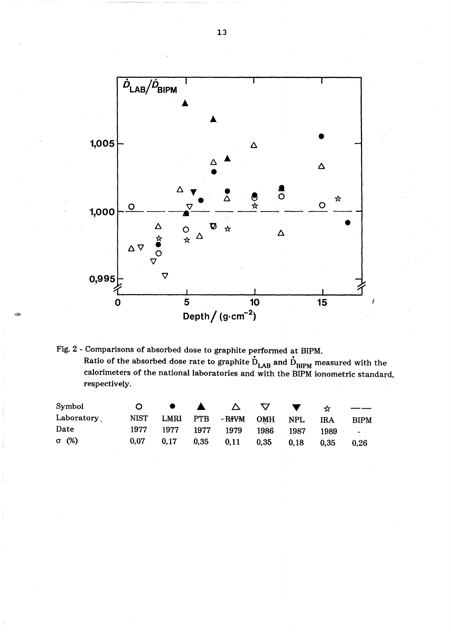

Fig. 2 - Comparisons of absorbed dose to graphite performed at BIPM. Ratio of the absorbed dose rate to graphite  $\dot{\text{D}}_\text{LAR}$  and  $\dot{\text{D}}_\text{RIPM}$  measured with the calorimeters of the national laboratories and with the BIPM ionometric standard, respectively.

-

| Symbol       | <u>n</u> |                     | $\bullet\qquad\blacktriangle\qquad\vartriangle\qquad\triangledown\qquad\blacktriangledown\qquad\; \mathbin{\star}\qquad$ |           |           |                          |
|--------------|----------|---------------------|--------------------------------------------------------------------------------------------------------------------------|-----------|-----------|--------------------------|
| Laboratory   |          |                     | NIST LMRI PTB ~RIVM OMH NPL                                                                                              |           | $\rm IRA$ | <b>BIPM</b>              |
| Date         |          | 1977 1977 1977 1979 |                                                                                                                          | 1986 1987 | 1989      | <b>Contract Contract</b> |
| $\sigma$ (%) | 0,07     |                     | $0,17$ $0,35$ $0,11$ $0,35$ $0,18$                                                                                       |           | 0,35      | 0,26                     |